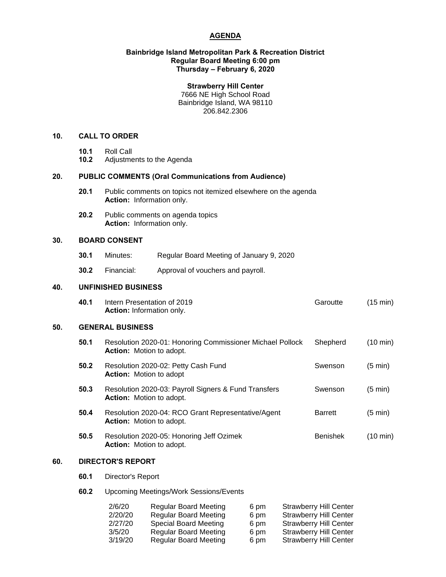# **AGENDA**

#### **Bainbridge Island Metropolitan Park & Recreation District Regular Board Meeting 6:00 pm Thursday – February 6, 2020**

### **Strawberry Hill Center**

7666 NE High School Road Bainbridge Island, WA 98110 206.842.2306

## **10. CALL TO ORDER**

- 
- **10.1** Roll Call **10.2** Adjustments to the Agenda

# **20. PUBLIC COMMENTS (Oral Communications from Audience)**

- **20.1** Public comments on topics not itemized elsewhere on the agenda **Action:** Information only.
- **20.2** Public comments on agenda topics **Action:** Information only.

# **30. BOARD CONSENT**

- **30.1** Minutes: Regular Board Meeting of January 9, 2020
- **30.2** Financial: Approval of vouchers and payroll.

### **40. UNFINISHED BUSINESS**

| 40.1 | Intern Presentation of 2019      | Garoutte | (15 min) |
|------|----------------------------------|----------|----------|
|      | <b>Action:</b> Information only. |          |          |

#### **50. GENERAL BUSINESS**

| 50.1 | Resolution 2020-01: Honoring Commissioner Michael Pollock<br><b>Action:</b> Motion to adopt. | Shepherd        | (10 min) |
|------|----------------------------------------------------------------------------------------------|-----------------|----------|
| 50.2 | Resolution 2020-02: Petty Cash Fund<br><b>Action:</b> Motion to adopt                        | Swenson         | (5 min)  |
| 50.3 | Resolution 2020-03: Payroll Signers & Fund Transfers<br><b>Action:</b> Motion to adopt.      | Swenson         | (5 min)  |
| 50.4 | Resolution 2020-04: RCO Grant Representative/Agent<br><b>Action:</b> Motion to adopt.        | <b>Barrett</b>  | (5 min)  |
| 50.5 | Resolution 2020-05: Honoring Jeff Ozimek<br><b>Action:</b> Motion to adopt.                  | <b>Benishek</b> | (10 min) |

# **60. DIRECTOR'S REPORT**

# **60.1** Director's Report

# **60.2** Upcoming Meetings/Work Sessions/Events

| 2/6/20  | <b>Regular Board Meeting</b> | 6 pm | <b>Strawberry Hill Center</b> |
|---------|------------------------------|------|-------------------------------|
| 2/20/20 | <b>Regular Board Meeting</b> | 6 pm | <b>Strawberry Hill Center</b> |
| 2/27/20 | Special Board Meeting        | 6 pm | <b>Strawberry Hill Center</b> |
| 3/5/20  | <b>Regular Board Meeting</b> | 6 pm | <b>Strawberry Hill Center</b> |
| 3/19/20 | <b>Regular Board Meeting</b> | 6 pm | <b>Strawberry Hill Center</b> |